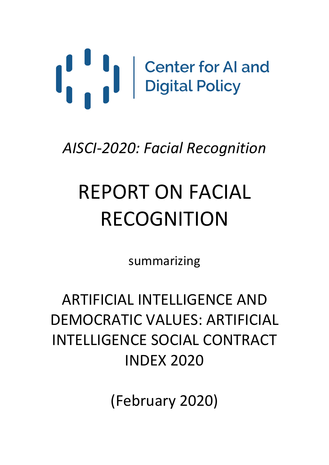

*AISCI-2020: Facial Recognition*

# REPORT ON FACIAL RECOGNITION

summarizing

## ARTIFICIAL INTELLIGENCE AND DEMOCRATIC VALUES: ARTIFICIAL INTELLIGENCE SOCIAL CONTRACT INDEX 2020

(February 2020)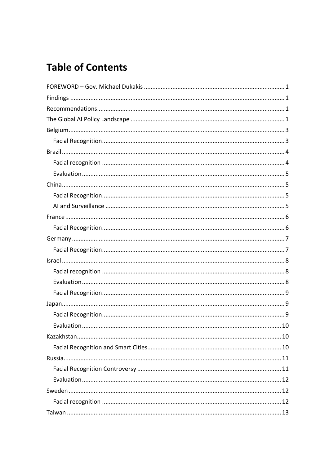### **Table of Contents**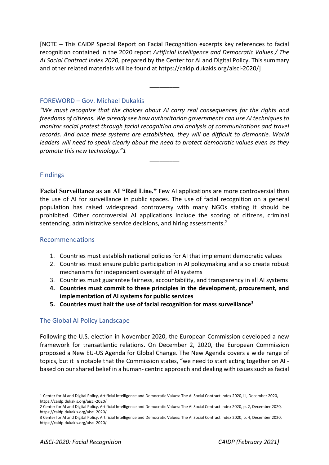[NOTE – This CAIDP Special Report on Facial Recognition excerpts key references to facial recognition contained in the 2020 report *Artificial Intelligence and Democratic Values / The AI Social Contract Index 2020*, prepared by the Center for AI and Digital Policy. This summary and other related materials will be found at https://caidp.dukakis.org/aisci-2020/]

\_\_\_\_\_\_\_\_\_

#### FOREWORD – Gov. Michael Dukakis

*"We must recognize that the choices about AI carry real consequences for the rights and freedoms of citizens. We already see how authoritarian governments can use AI techniques to monitor social protest through facial recognition and analysis of communications and travel records. And once these systems are established, they will be difficult to dismantle. World leaders will need to speak clearly about the need to protect democratic values even as they promote this new technology."1*

\_\_\_\_\_\_\_\_\_

#### Findings

**Facial Surveillance as an AI "Red Line."** Few AI applications are more controversial than the use of AI for surveillance in public spaces. The use of facial recognition on a general population has raised widespread controversy with many NGOs stating it should be prohibited. Other controversial AI applications include the scoring of citizens, criminal sentencing, administrative service decisions, and hiring assessments.<sup>2</sup>

#### Recommendations

- 1. Countries must establish national policies for AI that implement democratic values
- 2. Countries must ensure public participation in AI policymaking and also create robust mechanisms for independent oversight of AI systems
- 3. Countries must guarantee fairness, accountability, and transparency in all AI systems
- **4. Countries must commit to these principles in the development, procurement, and implementation of AI systems for public services**
- **5. Countries must halt the use of facial recognition for mass surveillance3**

#### The Global AI Policy Landscape

Following the U.S. election in November 2020, the European Commission developed a new framework for transatlantic relations. On December 2, 2020, the European Commission proposed a New EU-US Agenda for Global Change. The New Agenda covers a wide range of topics, but it is notable that the Commission states, "we need to start acting together on AI based on our shared belief in a human- centric approach and dealing with issues such as facial

<sup>1</sup> Center for AI and Digital Policy, Artificial Intelligence and Democratic Values: The AI Social Contract Index 2020, iii, December 2020, https://caidp.dukakis.org/aisci-2020/

<sup>2</sup> Center for AI and Digital Policy, Artificial Intelligence and Democratic Values: The AI Social Contract Index 2020, p. 2, December 2020, https://caidp.dukakis.org/aisci-2020/

<sup>3</sup> Center for AI and Digital Policy, Artificial Intelligence and Democratic Values: The AI Social Contract Index 2020, p. 4, December 2020, https://caidp.dukakis.org/aisci-2020/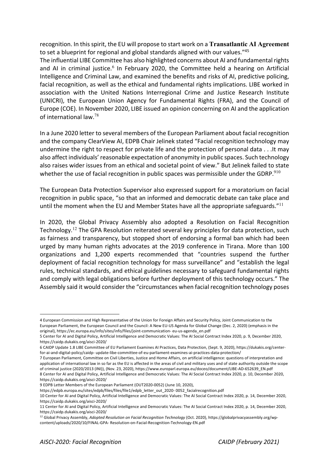recognition. In this spirit, the EU will propose to start work on a **Transatlantic AI Agreement**  to set a blueprint for regional and global standards aligned with our values."45

The influential LIBE Committee has also highlighted concerns about AI and fundamental rights and AI in criminal justice.<sup>6</sup> In February 2020, the Committee held a hearing on Artificial Intelligence and Criminal Law, and examined the benefits and risks of AI, predictive policing, facial recognition, as well as the ethical and fundamental rights implications. LIBE worked in association with the United Nations Interregional Crime and Justice Research Institute (UNICRI), the European Union Agency for Fundamental Rights (FRA), and the Council of Europe (COE). In November 2020, LIBE issued an opinion concerning on AI and the application of international law.<sup>78</sup>

In a June 2020 letter to several members of the European Parliament about facial recognition and the company ClearView AI, EDPB Chair Jelinek stated "Facial recognition technology may undermine the right to respect for private life and the protection of personal data . . .It may also affect individuals' reasonable expectation of anonymity in public spaces. Such technology also raises wider issues from an ethical and societal point of view." But Jelinek failed to state whether the use of facial recognition in public spaces was permissible under the GDRP.<sup>910</sup>

The European Data Protection Supervisor also expressed support for a moratorium on facial recognition in public space, "so that an informed and democratic debate can take place and until the moment when the EU and Member States have all the appropriate safeguards." $^{11}$ 

In 2020, the Global Privacy Assembly also adopted a Resolution on Facial Recognition Technology.<sup>12</sup> The GPA Resolution reiterated several key principles for data protection, such as fairness and transparency, but stopped short of endorsing a formal ban which had been urged by many human rights advocates at the 2019 conference in Tirana. More than 100 organizations and 1,200 experts recommended that "countries suspend the further deployment of facial recognition technology for mass surveillance" and "establish the legal rules, technical standards, and ethical guidelines necessary to safeguard fundamental rights and comply with legal obligations before further deployment of this technology occurs." The Assembly said it would consider the "circumstances when facial recognition technology poses

<sup>4</sup> European Commission and High Representative of the Union for Foreign Affairs and Security Policy, Joint Communication to the European Parliament, the European Council and the Council: A New EU-US Agenda for Global Change (Dec. 2, 2020) (emphasis in the original), https://ec.europa.eu/info/sites/info/files/joint-communication- eu-us-agenda\_en.pdf

<sup>5</sup> Center for AI and Digital Policy, Artificial Intelligence and Democratic Values: The AI Social Contract Index 2020, p. 9, December 2020, https://caidp.dukakis.org/aisci-2020/

<sup>6</sup> CAIDP Update 1.8 LIBE Committee of EU Parliament Examines AI Practices, Data Protection, (Sept. 9, 2020), https://dukakis.org/centerfor-ai-and-digital-policy/caidp- update-libe-committee-of-eu-parliament-examines-ai-practices-data-protection/

<sup>7</sup> European Parliament, Committee on Civil Liberties, Justice and Home Affairs, on artificial intelligence: questions of interpretation and application of international law in so far as the EU is affected in the areas of civil and military uses and of state authority outside the scope of criminal justice (2020/2013 (INI)), (Nov. 23, 2020), https://www.europarl.europa.eu/doceo/document/LIBE-AD-652639\_EN.pdf 8 Center for AI and Digital Policy, Artificial Intelligence and Democratic Values: The AI Social Contract Index 2020, p. 10, December 2020, https://caidp.dukakis.org/aisci-2020/

<sup>9</sup> EDPB Letter Members of the European Parliament (OUT2020-0052) (June 10, 2020),

https://edpb.europa.eu/sites/edpb/files/files/file1/edpb\_letter\_out\_2020- 0052\_facialrecognition.pdf

<sup>10</sup> Center for AI and Digital Policy, Artificial Intelligence and Democratic Values: The AI Social Contract Index 2020, p. 14, December 2020, https://caidp.dukakis.org/aisci-2020/

<sup>11</sup> Center for AI and Digital Policy, Artificial Intelligence and Democratic Values: The AI Social Contract Index 2020, p. 14, December 2020, https://caidp.dukakis.org/aisci-2020/

<sup>12</sup> Global Privacy Assembly, *Adopted Resolution on Facial Recognition Technology* (Oct. 2020), https://globalprivacyassembly.org/wpcontent/uploads/2020/10/FINAL-GPA- Resolution-on-Facial-Recognition-Technology-EN.pdf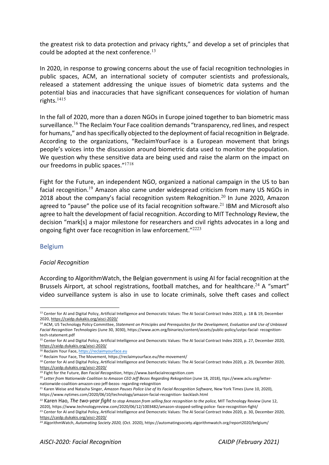the greatest risk to data protection and privacy rights," and develop a set of principles that could be adopted at the next conference. $^{13}$ 

In 2020, in response to growing concerns about the use of facial recognition technologies in public spaces, ACM, an international society of computer scientists and professionals, released a statement addressing the unique issues of biometric data systems and the potential bias and inaccuracies that have significant consequences for violation of human rights.<sup>1415</sup>

In the fall of 2020, more than a dozen NGOs in Europe joined together to ban biometric mass surveillance.<sup>16</sup> The Reclaim Your Face coalition demands "transparency, red lines, and respect for humans," and has specifically objected to the deployment of facial recognition in Belgrade. According to the organizations, "ReclaimYourFace is a European movement that brings people's voices into the discussion around biometric data used to monitor the population. We question why these sensitive data are being used and raise the alarm on the impact on our freedoms in public spaces."<sup>1718</sup>

Fight for the Future, an independent NGO, organized a national campaign in the US to ban facial recognition.<sup>19</sup> Amazon also came under widespread criticism from many US NGOs in 2018 about the company's facial recognition system Rekognition.<sup>20</sup> In June 2020, Amazon agreed to "pause" the police use of its facial recognition software. $^{21}$  IBM and Microsoft also agree to halt the development of facial recognition. According to MIT Technology Review, the decision "mark[s] a major milestone for researchers and civil rights advocates in a long and ongoing fight over face recognition in law enforcement."<sup>2223</sup>

#### Belgium

#### *Facial Recognition*

According to AlgorithmWatch, the Belgian government is using AI for facial recognition at the Brussels Airport, at school registrations, football matches, and for healthcare.<sup>24</sup> A "smart" video surveillance system is also in use to locate criminals, solve theft cases and collect

<sup>13</sup> Center for AI and Digital Policy, Artificial Intelligence and Democratic Values: The AI Social Contract Index 2020, p. 18 & 19, December 2020, https://caidp.dukakis.org/aisci-2020/

<sup>14</sup> ACM, US Technology Policy Committee, *Statement on Principles and Prerequisites for the Development, Evaluation and Use of Unbiased Facial Recognition Technologies* (June 30, 3030), https://www.acm.org/binaries/content/assets/public-policy/ustpc-facial- recognitiontech-statement.pdf

<sup>15</sup> Center for AI and Digital Policy, Artificial Intelligence and Democratic Values: The AI Social Contract Index 2020, p. 27, December 2020, https://caidp.dukakis.org/aisci-2020/

<sup>16</sup> Reclaim Your Face, https://reclaimyourface.eu

<sup>17</sup> Reclaim Your Face, The Movement, https://reclaimyourface.eu/the-movement/

<sup>&</sup>lt;sup>18</sup> Center for AI and Digital Policy, Artificial Intelligence and Democratic Values: The AI Social Contract Index 2020, p. 29, December 2020, https://caidp.dukakis.org/aisci-2020/

<sup>&</sup>lt;sup>19</sup> Fight for the Future, Ban Facial Recognition, https://www.banfacialrecognition.com<br><sup>20</sup> Letter from Nationwide Coalition to Amazon CEO Jeff Bezos Regarding Rekognition (June 18, 2018), ttps://www.aclu.org/letternationwide-coalition-amazon-ceo-jeff-bezos- regarding-rekognition<br><sup>21</sup> Karen Weise and Natasha Singer, *Amazon Pauses Police Use of Its Facial Recognition Software*, New York Times (June 10, 2020),

https://www.nytimes.com/2020/06/10/technology/amazon-facial-recognition- backlash.html

<sup>&</sup>lt;sup>22</sup> Karen Hao, *The two-year fight to stop Amazon from selling face recognition to the police, MIT Technology Review (June 12,* 

<sup>2020),</sup> https://www.technologyreview.com/2020/06/12/1003482/amazon-stopped-selling-police-face-recognition-fight/<br><sup>23</sup> Center for AI and Digital Policy, Artificial Intelligence and Democratic Values: The AI Social Contract https://caidp.dukakis.org/aisci-2020/

<sup>24</sup> AlgorithmWatch, *Automating Society 2020,* (Oct. 2020), https://automatingsociety.algorithmwatch.org/report2020/belgium/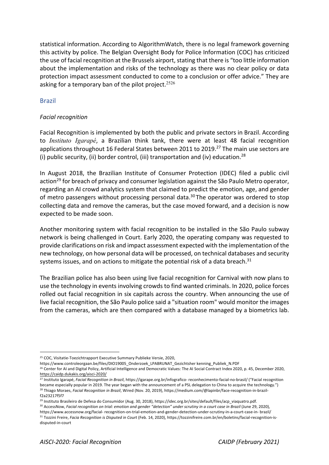statistical information. According to AlgorithmWatch, there is no legal framework governing this activity by police. The Belgian Oversight Body for Police Information (COC) has criticized the use of facial recognition at the Brussels airport, stating that there is "too little information about the implementation and risks of the technology as there was no clear policy or data protection impact assessment conducted to come to a conclusion or offer advice." They are asking for a temporary ban of the pilot project.<sup>2526</sup>

#### Brazil

#### *Facial recognition*

Facial Recognition is implemented by both the public and private sectors in Brazil. According to *Instituto Igarapé*, a Brazilian think tank, there were at least 48 facial recognition applications throughout 16 Federal States between 2011 to 2019.<sup>27</sup> The main use sectors are (i) public security, (ii) border control, (iii) transportation and (iv) education.28

In August 2018, the Brazilian Institute of Consumer Protection (IDEC) filed a public civil action<sup>29</sup> for breach of privacy and consumer legislation against the São Paulo Metro operator, regarding an AI crowd analytics system that claimed to predict the emotion, age, and gender of metro passengers without processing personal data.<sup>30</sup> The operator was ordered to stop collecting data and remove the cameras, but the case moved forward, and a decision is now expected to be made soon.

Another monitoring system with facial recognition to be installed in the São Paulo subway network is being challenged in Court. Early 2020, the operating company was requested to provide clarifications on risk and impact assessment expected with the implementation of the new technology, on how personal data will be processed, on technical databases and security systems issues, and on actions to mitigate the potential risk of a data breach. $31$ 

The Brazilian police has also been using live facial recognition for Carnival with now plans to use the technology in events involving crowds to find wanted criminals. In 2020, police forces rolled out facial recognition in six capitals across the country. When announcing the use of live facial recognition, the São Paulo police said a "situation room" would monitor the images from the cameras, which are then compared with a database managed by a biometrics lab.

<sup>25</sup> COC, Visitatie-Toezichtrapport Executive Summary Publieke Versie, 2020,

https://www.controleorgaan.be/files/DIO19005\_Onderzoek\_LPABRUNAT\_Gezichtsher kenning\_Publiek\_N.PDF

<sup>&</sup>lt;sup>26</sup> Center for AI and Digital Policy, Artificial Intelligence and Democratic Values: The AI Social Contract Index 2020, p. 45, December 2020, https://caidp.dukakis.org/aisci-2020/

<sup>27</sup> Instituto Igarapé, *Facial Recognition in Brazil*, https://igarape.org.br/infografico- reconhecimento-facial-no-brasil/ ("Facial recognition became especially popular in 2019. The year began with the announcement of a PSL delegation to China to acquire the technology.") <sup>28</sup> Thiago Moraes, *Facial Recognition in Brazil*, Wired (Nov. 20, 2019), https://medium.com/@lapinbr/face-recognition-in-brazilf2a23217f5f7

<sup>&</sup>lt;sup>29</sup> Instituto Brasileiro de Defesa do Consumidor (Aug. 30, 2018), https://idec.org.br/sites/default/files/acp\_viaquatro.pdf. <sup>30</sup> AccessNow, *Facial recognition on trial: emotion and gender "detection" under scrutiny in a court case in Brazil (June 29, 2020),* 

https://www.accessnow.org/facial- recognition-on-trial-emotion-and-gender-detection-under-scrutiny-in-a-court-case-in- brazil/ <sup>31</sup> Tozzini Freire, *Facia Recognition is Disputed in Court* (Feb. 14, 2020), https://tozzinifreire.com.br/en/boletins/facial-recognition-isdisputed-in-court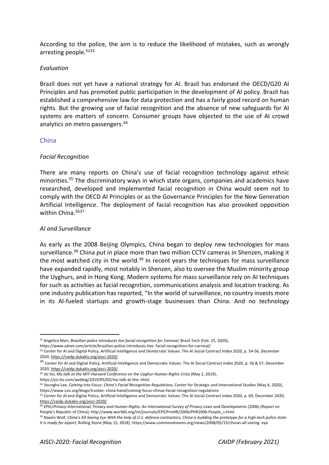According to the police, the aim is to reduce the likelihood of mistakes, such as wrongly arresting people.3233

#### *Evaluation*

Brazil does not yet have a national strategy for AI. Brazil has endorsed the OECD/G20 AI Principles and has promoted public participation in the development of AI policy. Brazil has established a comprehensive law for data protection and has a fairly good record on human rights. But the growing use of facial recognition and the absence of new safeguards for AI systems are matters of concern. Consumer groups have objected to the use of AI crowd analytics on metro passengers.<sup>34</sup>

#### China

#### *Facial Recognition*

There are many reports on China's use of facial recognition technology against ethnic minorities.<sup>35</sup> The discriminatory ways in which state organs, companies and academics have researched, developed and implemented facial recognition in China would seem not to comply with the OECD AI Principles or as the Governance Principles for the New Generation Artificial Intelligence. The deployment of facial recognition has also provoked opposition within China. 3637

#### *AI and Surveillance*

As early as the 2008 Beijing Olympics, China began to deploy new technologies for mass surveillance.<sup>38</sup> China put in place more than two million CCTV cameras in Shenzen, making it the most watched city in the world. $39$  In recent years the techniques for mass surveillance have expanded rapidly, most notably in Shenzen, also to oversee the Muslim minority group the Uyghurs, and in Hong Kong. Modern systems for mass surveillance rely on AI techniques for such as activities as facial recognition, communications analysis and location tracking. As one industry publication has reported, "In the world of surveillance, no country invests more in its AI-fueled startups and growth-stage businesses than China. And no technology

https://www.zdnet.com/article/brazilian-police-introduces-live- facial-recognition-for-carnival/

<sup>35</sup> Joi Ito, My talk at the MIT-Harvard Conference on the Uyghur Human Rights Crisis (May 2, 2019),

https://joi.ito.com/weblog/2019/05/02/my-talk-at-the-.html.

<sup>&</sup>lt;sup>32</sup> Angelica Mari, *Brazilian police introduces live facial recognition for Carnival, Brazil Tech (Feb. 25, 2020),* 

<sup>33</sup> Center for AI and Digital Policy, Artificial Intelligence and Democratic Values: The AI Social Contract Index 2020, p. 54-56, December 2020, https://caidp.dukakis.org/aisci-2020/

<sup>&</sup>lt;sup>34</sup> Center for AI and Digital Policy, Artificial Intelligence and Democratic Values: The AI Social Contract Index 2020, p. 56 & 57, December 2020, https://caidp.dukakis.org/aisci-2020/

<sup>&</sup>lt;sup>36</sup> Seungha Lee, *Coming into Focus: China's Facial Recognition Regulations*, Center for Strategic and International Studies (May 4, 2020), https://www.csis.org/blogs/trustee-china-hand/coming-focus-chinas-facial-recognition-regulations<br><sup>37</sup> Center for AI and Digital Policy, Artificial Intelligence and Democratic Values: The AI Social Contract Index 2020, p. 6

https://caidp.dukakis.org/aisci-2020/

<sup>&</sup>lt;sup>38</sup> EPIC/Privacy International, Privacy and Human Rights: An International Survey of Privacy Laws and Developments (2006) (Report on People's Republic of China), http://www.worldlii.org/int/journals/EPICPrivHR/2006/PHR2006-People\_s.html

<sup>39</sup> Naomi Wolf, *China's All-Seeing Eye With the help of U.S. defense contractors, China is building the prototype for a high-tech police state. It is ready for export*, Rolling Stone (May 15, 2018), https://www.commondreams.org/views/2008/05/15/chinas-all-seeing- eye.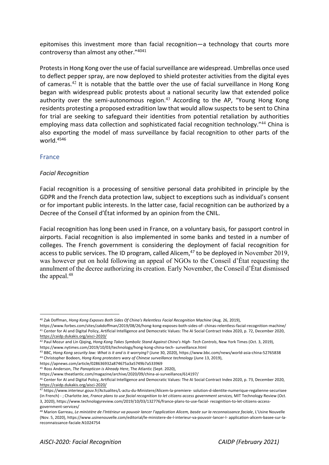epitomises this investment more than facial recognition—a technology that courts more controversy than almost any other."4041

Protests in Hong Kong over the use of facial surveillance are widespread. Umbrellas once used to deflect pepper spray, are now deployed to shield protester activities from the digital eyes of cameras.<sup>42</sup> It is notable that the battle over the use of facial surveillance in Hong Kong began with widespread public protests about a national security law that extended police authority over the semi-autonomous region.<sup>43</sup> According to the AP. "Young Hong Kong residents protesting a proposed extradition law that would allow suspects to be sent to China for trial are seeking to safeguard their identities from potential retaliation by authorities employing mass data collection and sophisticated facial recognition technology."<sup>44</sup> China is also exporting the model of mass surveillance by facial recognition to other parts of the world.4546

#### France

#### *Facial Recognition*

Facial recognition is a processing of sensitive personal data prohibited in principle by the GDPR and the French data protection law, subject to exceptions such as individual's consent or for important public interests. In the latter case, facial recognition can be authorized by a Decree of the Conseil d'État informed by an opinion from the CNIL.

Facial recognition has long been used in France, on a voluntary basis, for passport control in airports. Facial recognition is also implemented in some banks and tested in a number of colleges. The French government is considering the deployment of facial recognition for access to public services. The ID program, called Alicem, $47$  to be deployed in November 2019, was however put on hold following an appeal of NGOs to the Conseil d'État requesting the annulment of the decree authorizing its creation. Early November, the Conseil d'État dismissed the appeal.<sup>48</sup>

https://apnews.com/article/028636932a874675a3a5749b7a533969

<sup>45</sup> Ross Anderson, *The Panopticon is Already Here*, The Atlantic (Sept. 2020),

<sup>&</sup>lt;sup>40</sup> Zak Doffman, *Hong Kong Exposes Both Sides Of China's Relentless Facial Recognition Machine (Aug. 26, 2019),* 

https://www.forbes.com/sites/zakdoffman/2019/08/26/hong-kong-exposes-both-sides-of-chinas-relentless-facial-recognition-machine/<br><sup>41</sup> Center for AI and Digital Policy, Artificial Intelligence and Democratic Values: The AI https://caidp.dukakis.org/aisci-2020/

<sup>42</sup> Paul Mozur and Lin Qiqing, *Hong Kong Takes Symbolic Stand Against China's High- Tech Controls*, New York Times (Oct. 3, 2019),

https://www.nytimes.com/2019/10/03/technology/hong-kong-china-tech- surveillance.html

<sup>43</sup> BBC, *Hong Kong security law: What is it and is it worrying*? (June 30, 2020), https://www.bbc.com/news/world-asia-china-52765838 <sup>44</sup> Christopher Bodeen, *Hong Kong protesters wary of Chinese surveillance technology* (June 13, 2019),

<sup>&</sup>lt;sup>46</sup> Center for AI and Digital Policy, Artificial Intelligence and Democratic Values: The AI Social Contract Index 2020, p. 73, December 2020, https://caidp.dukakis.org/aisci-2020/

<sup>47</sup> https://www.interieur.gouv.fr/Actualites/L-actu-du-Ministere/Alicem-la-premiere- solution-d-identite-numerique-regalienne-securisee (in French) -; Charlotte Jee, France plans to use facial recognition to let citizens access government services, MIT Technology Review (Oct. 3, 2020), https://www.technologyreview.com/2019/10/03/132776/france-plans-to-use-facial- recognition-to-let-citizens-accessgovernment-services/

<sup>48</sup> Marion Garreau, Le ministère de l'Intérieur va pouvoir lancer l'application Alicem, basée sur la reconnaissance faciale, L'Usine Nouvelle (Nov. 5, 2020), https://www.usinenouvelle.com/editorial/le-ministere-de-l-interieur-va-pouvoir-lancer-l- application-alicem-basee-sur-lareconnaissance-faciale.N1024754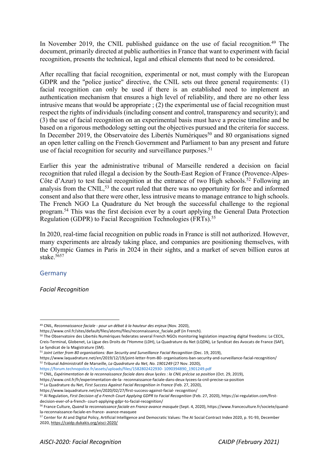In November 2019, the CNIL published guidance on the use of facial recognition.<sup>49</sup> The document, primarily directed at public authorities in France that want to experiment with facial recognition, presents the technical, legal and ethical elements that need to be considered.

After recalling that facial recognition, experimental or not, must comply with the European GDPR and the "police justice" directive, the CNIL sets out three general requirements: (1) facial recognition can only be used if there is an established need to implement an authentication mechanism that ensures a high level of reliability, and there are no other less intrusive means that would be appropriate ; (2) the experimental use of facial recognition must respect the rights of individuals (including consent and control, transparency and security); and (3) the use of facial recognition on an experimental basis must have a precise timeline and be based on a rigorous methodology setting out the objectives pursued and the criteria for success. In December 2019, the Observatoire des Libertés Numériques<sup>50</sup> and 80 organisations signed an open letter calling on the French Government and Parliament to ban any present and future use of facial recognition for security and surveillance purposes.<sup>51</sup>

Earlier this year the administrative tribunal of Marseille rendered a decision on facial recognition that ruled illegal a decision by the South-East Region of France (Provence-Alpes-Côte d'Azur) to test facial recognition at the entrance of two High schools.<sup>52</sup> Following an analysis from the CNIL,<sup>53</sup> the court ruled that there was no opportunity for free and informed consent and also that there were other, less intrusive means to manage entrance to high schools. The French NGO La Quadrature du Net brough the successful challenge to the regional program.54 This was the first decision ever by a court applying the General Data Protection Regulation (GDPR) to Facial Recognition Technologies (FRTs).<sup>55</sup>

In 2020, real-time facial recognition on public roads in France is still not authorized. However, many experiments are already taking place, and companies are positioning themselves, with the Olympic Games in Paris in 2024 in their sights, and a market of seven billion euros at stake. $5657$ 

#### Germany

*Facial Recognition* 

https://www.cnil.fr/sites/default/files/atoms/files/reconnaissance\_faciale.pdf (in French).

https://forum.technopolice.fr/assets/uploads/files/1582802422930- 1090394890\_1901249.pdf

<sup>49</sup> CNIL, *Reconnaissance faciale - pour un débat à la hauteur des enjeux* (Nov. 2020),

<sup>&</sup>lt;sup>50</sup> The Observatoire des Libertés Numériques federates several French NGOs monitoring legislation impacting digital freedoms: Le CECIL, Creis-Terminal, Globenet, La Ligue des Droits de l'Homme (LDH), La Quadrature du Net (LQDN), Le Syndicat des Avocats de France (SAF), Le Syndicat de la Magistrature (SM).

<sup>&</sup>lt;sup>51</sup> Joint Letter from 80 organisations: Ban Security and Surveillance Facial Recognition (Dec. 19, 2019),

https://www.laquadrature.net/en/2019/12/19/joint-letter-from-80- organisations-ban-security-and-surveillance-facial-recognition/<br><sup>52</sup> Tribunal Administratif de Marseille, La Quadrature du Net, No. 1901249 (27 Nov. 2020),

<sup>&</sup>lt;sup>53</sup> CNIL, *Expérimentation de la reconnaissance faciale dans deux lycées : la CNIL précise sa position (Oct. 29, 2019)*,

https://www.cnil.fr/fr/experimentation-de-la- reconnaissance-faciale-dans-deux-lycees-la-cnil-precise-sa-position 54 La Quadrature du Net, *First Success Against Facial Recognition in France* (Feb. 27, 2020),

https://www.laquadrature.net/en/2020/02/27/first-success-against-facial- recognition/

<sup>55</sup> AI Regulation, *First Decision of a French Court Applying GDPR to Facial Recognition* (Feb. 27, 2020), https://ai-regulation.com/first-

decision-ever-of-a-french- court-applying-gdpr-to-facial-recognition/<br><sup>56</sup> France Culture, *Quand la reconnaissance faciale en France avance masquée* (Sept. 4, 2020), https://www.franceculture.fr/societe/quandla-reconnaissance-faciale-en-france- avance-masquee

<sup>57</sup> Center for AI and Digital Policy, Artificial Intelligence and Democratic Values: The AI Social Contract Index 2020, p. 91-93, December 2020, https://caidp.dukakis.org/aisci-2020/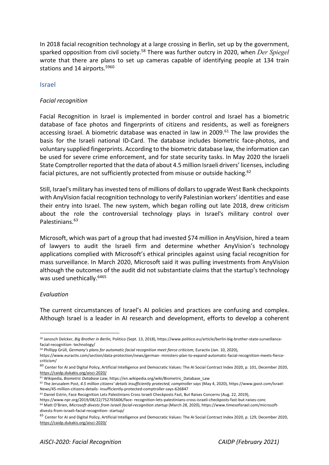In 2018 facial recognition technology at a large crossing in Berlin, set up by the government, sparked opposition from civil society.58 There was further outcry in 2020, when *Der Spiegel*  wrote that there are plans to set up cameras capable of identifying people at 134 train stations and 14 airports.<sup>5960</sup>

#### Israel

#### *Facial recognition*

Facial Recognition in Israel is implemented in border control and Israel has a biometric database of face photos and fingerprints of citizens and residents, as well as foreigners accessing Israel. A biometric database was enacted in law in 2009.<sup>61</sup> The law provides the basis for the Israeli national ID-Card. The database includes biometric face-photos, and voluntary supplied fingerprints. According to the biometric database law, the information can be used for severe crime enforcement, and for state security tasks. In May 2020 the Israeli State Comptroller reported that the data of about 4.5 million Israeli drivers' licenses, including facial pictures, are not sufficiently protected from misuse or outside hacking.<sup>62</sup>

Still, Israel's military has invested tens of millions of dollars to upgrade West Bank checkpoints with AnyVision facial recognition technology to verify Palestinian workers' identities and ease their entry into Israel. The new system, which began rolling out late 2018, drew criticism about the role the controversial technology plays in Israel's military control over Palestinians.<sup>63</sup>

Microsoft, which was part of a group that had invested \$74 million in AnyVision, hired a team of lawyers to audit the Israeli firm and determine whether AnyVision's technology applications complied with Microsoft's ethical principles against using facial recognition for mass surveillance. In March 2020, Microsoft said it was pulling investments from AnyVision although the outcomes of the audit did not substantiate claims that the startup's technology was used unethically.<sup>6465</sup>

#### *Evaluation*

The current circumstances of Israel's AI policies and practices are confusing and complex. Although Israel is a leader in AI research and development, efforts to develop a coherent

<sup>58</sup> Janosch Delcker, *Big Brother in Berlin,* Politico (Sept. 13, 2018), https://www.politico.eu/article/berlin-big-brother-state-surveillancefacial-recognition- technology/

<sup>59</sup> Phillipp Grüll, *Germany's plans for automatic facial recognition meet fierce criticism,* Euractiv (Jan. 10, 2020),

https://www.euractiv.com/section/data-protection/news/german- ministers-plan-to-expand-automatic-facial-recognition-meets-fiercecriticism/

<sup>60</sup> Center for AI and Digital Policy, Artificial Intelligence and Democratic Values: The AI Social Contract Index 2020, p. 101, December 2020, https://caidp.dukakis.org/aisci-2020/

<sup>61</sup> Wikipedia, *Biometric Database Law*, https://en.wikipedia.org/wiki/Biometric\_Database\_Law

<sup>&</sup>lt;sup>62</sup> The Jerusalem Post, 4.5 million citizens' details insufficiently protected, comptroller says (May 4, 2020), https://www.jpost.com/Israel-News/45-million-citizens-details- insufficiently-protected-comptroller-says-626847

<sup>63</sup> Daniel Estrin, Face Recognition Lets Palestinians Cross Israeli Checkposts Fast, But Raises Concerns (Aug. 22, 2019),

https://www.npr.org/2019/08/22/752765606/face- recognition-lets-palestinians-cross-israeli-checkposts-fast-but-raises-conc <sup>64</sup> Matt O'Brien, Microsoft divests from Israeli facial-recognition startup (March 28, 2020), https://www.timesofisrael.com/microsoftdivests-from-israeli-facial-recognition- startup/

<sup>&</sup>lt;sup>65</sup> Center for AI and Digital Policy, Artificial Intelligence and Democratic Values: The AI Social Contract Index 2020, p. 129, December 2020, https://caidp.dukakis.org/aisci-2020/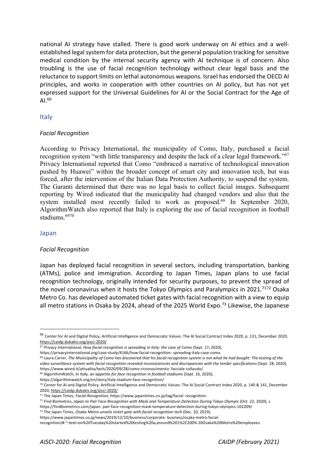national AI strategy have stalled. There is good work underway on AI ethics and a wellestablished legal system for data protection, but the general population tracking for sensitive medical condition by the internal security agency with AI technique is of concern. Also troubling is the use of facial recognition technology without clear legal basis and the reluctance to support limits on lethal autonomous weapons. Israel has endorsed the OECD AI principles, and works in cooperation with other countries on AI policy, but has not yet expressed support for the Universal Guidelines for AI or the Social Contract for the Age of AI<sup>66</sup>

#### Italy

#### *Facial Recognition*

According to Privacy International, the municipality of Como, Italy, purchased a facial recognition system "with little transparency and despite the lack of a clear legal framework."67 Privacy International reported that Como "embraced a narrative of technological innovation pushed by Huawei" within the broader concept of smart city and innovation tech, but was forced, after the intervention of the Italian Data Protection Authority, to suspend the system. The Garanti determined that there was no legal basis to collect facial images. Subsequent reporting by Wired indicated that the municipality had changed vendors and also that the system installed most recently failed to work as proposed.<sup>68</sup> In September 2020, AlgorithmWatch also reported that Italy is exploring the use of facial recognition in football stadiums.6970

#### Japan

#### *Facial Recognition*

Japan has deployed facial recognition in several sectors, including transportation, banking (ATMs), police and immigration. According to Japan Times, Japan plans to use facial recognition technology, originally intended for security purposes, to prevent the spread of the novel coronavirus when it hosts the Tokyo Olympics and Paralympics in 2021.<sup>7172</sup> Osaka Metro Co. has developed automated ticket gates with facial recognition with a view to equip all metro stations in Osaka by 2024, ahead of the 2025 World Expo.<sup>73</sup> Likewise, the Japanese

<sup>69</sup> AlgorithmWatch, *In Italy, an appetite for face recognition in football stadiums* (Sept. 16, 2020),

https://algorithmwatch.org/en/story/italy-stadium-face-recognition/

<sup>66</sup> Center for AI and Digital Policy, Artificial Intelligence and Democratic Values: The AI Social Contract Index 2020, p. 131, December 2020, https://caidp.dukakis.org/aisci-2020/

<sup>&</sup>lt;sup>67</sup> Privacy International, *How facial recognition is spreading in Italy: the case of Como (Sept. 17, 2020),* 

https://privacyinternational.org/case-study/4166/how-facial-recognition-spreading-italy-case-como<br><sup>68</sup> Laura Carrer, The Municipality of Como has discovered that his facial recognition system is not what he had bought: The video surveillance system with facial recognition revealed inconsistencies and discrepancies with the tender specifications (Sept. 28, 2020), https://www.wired.it/attualita/tech/2020/09/28/como-riconoscimento- facciale-collaudo/

<sup>70</sup> Center for AI and Digital Policy, Artificial Intelligence and Democratic Values: The AI Social Contract Index 2020, p. 140 & 141, December 2020, https://caidp.dukakis.org/aisci-2020/

<sup>71</sup> The Japan Times, *Facial Recognition*, https://www.japantimes.co.jp/tag/facial- recognition.

<sup>72</sup> Find Biometrics, *Japan to Pair Face Recognition with Mask and Temperature Detection During Tokyo Olympic* (Oct. 22, 2020), s

https://findbiometrics.com/japan- pair-face-recognition-mask-temperature-detection-during-tokyo-olympics-102209/

<sup>&</sup>lt;sup>73</sup> The Japan Times, Osaka Metro unveils ticket gate with facial recognition tech (Dec. 10, 2019),

https://www.japantimes.co.jp/news/2019/12/10/business/corporate- business/osaka-metro-facial-

recognition/#:~:text=on%20Tuesday%20started%20testing%20a,around%201%2C200% 20Osaka%20Metro%20employees.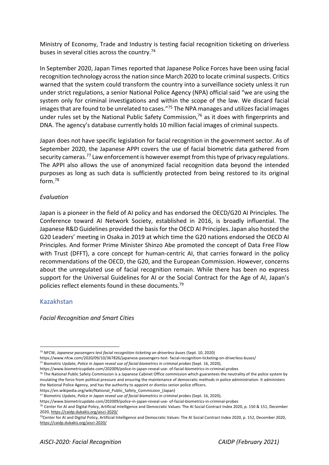Ministry of Economy, Trade and Industry is testing facial recognition ticketing on driverless buses in several cities across the country.74

In September 2020, Japan Times reported that Japanese Police Forces have been using facial recognition technology across the nation since March 2020 to locate criminal suspects. Critics warned that the system could transform the country into a surveillance society unless it run under strict regulations, a senior National Police Agency (NPA) official said "we are using the system only for criminal investigations and within the scope of the law. We discard facial images that are found to be unrelated to cases."<sup>75</sup> The NPA manages and utilizes facial images under rules set by the National Public Safety Commission, $76$  as it does with fingerprints and DNA. The agency's database currently holds 10 million facial images of criminal suspects.

Japan does not have specific legislation for facial recognition in the government sector. As of September 2020, the Japanese APPI covers the use of facial biometric data gathered from security cameras.<sup>77</sup> Law enforcement is however exempt from this type of privacy regulations. The APPI also allows the use of anonymized facial recognition data beyond the intended purposes as long as such data is sufficiently protected from being restored to its original form.78

#### *Evaluation*

Japan is a pioneer in the field of AI policy and has endorsed the OECD/G20 AI Principles. The Conference toward AI Network Society, established in 2016, is broadly influential. The Japanese R&D Guidelines provided the basis for the OECD AI Principles. Japan also hosted the G20 Leaders' meeting in Osaka in 2019 at which time the G20 nations endorsed the OECD AI Principles. And former Prime Minister Shinzo Abe promoted the concept of Data Free Flow with Trust (DFFT), a core concept for human-centric AI, that carries forward in the policy recommendations of the OECD, the G20, and the European Commission. However, concerns about the unregulated use of facial recognition remain. While there has been no express support for the Universal Guidelines for AI or the Social Contract for the Age of AI, Japan's policies reflect elements found in these documents.79

#### Kazakhstan

*Facial Recognition and Smart Cities* 

<sup>74</sup> NFCW, *Japanese passengers test facial recognition ticketing on driverless buses* (Sept. 10, 2020)

https://www.nfcw.com/2020/09/10/367826/japanese-passengers-test- facial-recognition-ticketing-on-driverless-buses/

<sup>75</sup> Biometric Update, *Police in Japan reveal use of facial biometrics in criminal probes* (Sept. 16, 2020),

https://www.biometricupdate.com/202009/police-in-japan-reveal-use- of-facial-biometrics-in-criminal-probes<br><sup>76</sup> The National Public Safety Commission is a Japanese Cabinet Office commission which guarantees the neutrality

insulating the force from political pressure and ensuring the maintenance of democratic methods in police administration. It administers the National Police Agency, and has the authority to appoint or dismiss senior police officers.

https://en.wikipedia.org/wiki/National\_Public\_Safety\_Commission\_(Japan)

<sup>77</sup> Biometric Update, *Police in Japan reveal use of facial biometrics in criminal probes* (Sept. 16, 2020),

https://www.biometricupdate.com/202009/police-in-japan-reveal-use- of-facial-biometrics-in-criminal-probes<br><sup>78</sup> Center for AI and Digital Policy, Artificial Intelligence and Democratic Values: The AI Social Contract Index 2020, https://caidp.dukakis.org/aisci-2020/

<sup>79</sup>Center for AI and Digital Policy, Artificial Intelligence and Democratic Values: The AI Social Contract Index 2020, p. 152, December 2020, https://caidp.dukakis.org/aisci-2020/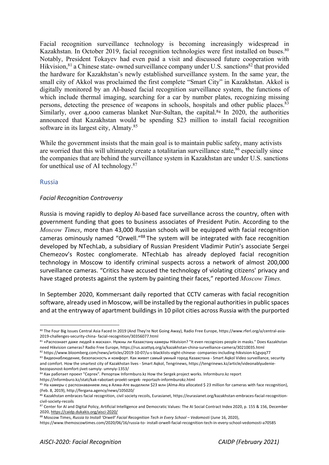Facial recognition surveillance technology is becoming increasingly widespread in Kazakhstan. In October 2019, facial recognition technologies were first installed on buses.<sup>80</sup> Notably, President Tokayev had even paid a visit and discussed future cooperation with Hikvision,  $81$  a Chinese state- owned surveillance company under U.S. sanctions  $82$  that provided the hardware for Kazakhstan's newly established surveillance system. In the same year, the small city of Akkol was proclaimed the first complete "Smart City" in Kazakhstan. Akkol is digitally monitored by an AI-based facial recognition surveillance system, the functions of which include thermal imaging, searching for a car by number plates, recognizing missing persons, detecting the presence of weapons in schools, hospitals and other public places.<sup>83</sup> Similarly, over 4,000 cameras blanket Nur-Sultan, the capital.<sup>84</sup> In 2020, the authorities announced that Kazakhstan would be spending \$23 million to install facial recognition software in its largest city, Almaty.<sup>85</sup>

While the government insists that the main goal is to maintain public safety, many activists are worried that this will ultimately create a totalitarian surveillance state,  $86$  especially since the companies that are behind the surveillance system in Kazakhstan are under U.S. sanctions for unethical use of AI technology.87

#### Russia

#### *Facial Recognition Controversy*

Russia is moving rapidly to deploy AI-based face surveillance across the country, often with government funding that goes to business associates of President Putin. According to the *Moscow Times*, more than 43,000 Russian schools will be equipped with facial recognition cameras ominously named "Orwell."88 The system will be integrated with face recognition developed by NTechLab, a subsidiary of Russian President Vladimir Putin's associate Sergei Chemezov's Rostec conglomerate. NTechLab has already deployed facial recognition technology in Moscow to identify criminal suspects across a network of almost 200,000 surveillance cameras. "Critics have accused the technology of violating citizens' privacy and have staged protests against the system by painting their faces," reported *Moscow Times.* 

In September 2020, Kommersant daily reported that CCTV cameras with facial recognition software, already used in Moscow, will be installed by the regional authorities in public spaces and at the entryway of apartment buildings in 10 pilot cities across Russia with the purported

<sup>80</sup> The Four Big Issues Central Asia Faced In 2019 (And They're Not Going Away), Radio Free Europe, https://www.rferl.org/a/central-asia-2019-challenges-security-china- facial-recognition/30356077.html

<sup>&</sup>lt;sup>81</sup> «Распознает даже людей в масках». Нужны ли Казахстану камеры Hikvision? "It even recognizes people in masks." Does Kazakhstan<br>need Hikvision cameras? Radio Free Europe, https://rus.azattyq.org/a/kazakhstan-china-surv

<sup>82</sup> https://www.bloomberg.com/news/articles/2019-10-07/u-s-blacklists-eight-chinese-companies-including-hikvision-k1gvpq77 83 Видеонаблюдение, безопасность и комфорт. Как живет самый умный город Казахстана - Smart Aqkol Video surveillance, security

and comfort. How the smartest city of Kazakhstan lives - Smart Aqkol, Tengrinews, https://tengrinews.kz/article/videonablyudeniebezopasnost-komfort-jivet-samyiy- umnyiy-1353/<br><sup>84</sup> Как работает проект "Сергек". Репортаж Informburo.kz How the Sergek project works. Informburo.kz report

https://informburo.kz/stati/kak-rabotaet-proekt-sergek- reportazh-informburokz.html<br><sup>85</sup> На камеры с распознаванием лиц в Алма-Ате выделили \$23 млн (Alma-Ata allocated \$ 23 million for cameras with face recognition), (Feb. 8, 2019), http://fergana.agency/news/105020/

<sup>86</sup> Kazakhstan embraces facial recognition, civil society recoils, Eurasianet, https://eurasianet.org/kazakhstan-embraces-facial-recognitioncivil-society-recoils

<sup>87</sup> Center for AI and Digital Policy, Artificial Intelligence and Democratic Values: The AI Social Contract Index 2020, p. 155 & 156, December 2020, https://caidp.dukakis.org/aisci-2020/

<sup>88</sup> Moscow Times, *Russia to Install 'Orwell' Facial Recognition Tech in Every School – Vedomosti* (June 16, 2020),

https://www.themoscowtimes.com/2020/06/16/russia-to- install-orwell-facial-recognition-tech-in-every-school-vedomosti-a70585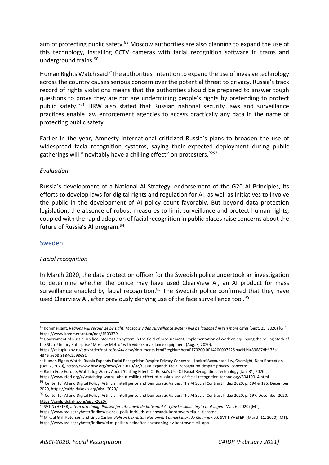aim of protecting public safety.<sup>89</sup> Moscow authorities are also planning to expand the use of this technology, installing CCTV cameras with facial recognition software in trams and underground trains.90

Human Rights Watch said "The authorities' intention to expand the use of invasive technology across the country causes serious concern over the potential threat to privacy. Russia's track record of rights violations means that the authorities should be prepared to answer tough questions to prove they are not are undermining people's rights by pretending to protect public safety."<sup>91</sup> HRW also stated that Russian national security laws and surveillance practices enable law enforcement agencies to access practically any data in the name of protecting public safety.

Earlier in the year, Amnesty International criticized Russia's plans to broaden the use of widespread facial-recognition systems, saying their expected deployment during public gatherings will "inevitably have a chilling effect" on protesters.<sup>9293</sup>

#### *Evaluation*

Russia's development of a National AI Strategy, endorsement of the G20 AI Principles, its efforts to develop laws for digital rights and regulation for AI, as well as initiatives to involve the public in the development of AI policy count favorably. But beyond data protection legislation, the absence of robust measures to limit surveillance and protect human rights, coupled with the rapid adoption of facial recognition in public places raise concerns about the future of Russia's AI program.<sup>94</sup>

#### Sweden

#### *Facial recognition*

In March 2020, the data protection officer for the Swedish police undertook an investigation to determine whether the police may have used ClearView AI, an AI product for mass surveillance enabled by facial recognition.<sup>95</sup> The Swedish police confirmed that they have used Clearview AI, after previously denying use of the face surveillance tool.<sup>96</sup>

<sup>89</sup> Kommersant, Regions will recognize by sight: Moscow video surveillance system will be launched in ten more cities (Sept. 25, 2020) [GT], https://www.kommersant.ru/doc/4503379

<sup>90</sup> Government of Russia, Unified information system in the field of procurement, Implementation of work on equipping the rolling stock of the State Unitary Enterprise "Moscow Metro" with video surveillance equipment (Aug. 3, 2020),

https://zakupki.gov.ru/epz/order/notice/ea44/view/documents.html?regNumber=0173200 001420000752&backUrl=89687dbf-73a1- 4346-a608-3634c2a98681

<sup>91</sup> Human Rights Watch, Russia Expands Facial Recognition Despite Privacy Concerns - Lack of Accountability, Oversight, Data Protection (Oct. 2, 2020), https://www.hrw.org/news/2020/10/02/russia-expands-facial-recognition-despite-privacy-concerns<br><sup>92</sup> Radio Free Europe, Watchdog Warns About 'Chilling Effect' Of Russia's Use Of Facial-Recognition Technology

https://www.rferl.org/a/watchdog-warns- about-chilling-effect-of-russia-s-use-of-facial-recognition-technology/30410014.html <sup>93</sup> Center for AI and Digital Policy, Artificial Intelligence and Democratic Values: The AI Social Contract Index 2020, p. 194 & 195, December

<sup>2020,</sup> https://caidp.dukakis.org/aisci-2020/

<sup>94</sup> Center for AI and Digital Policy, Artificial Intelligence and Democratic Values: The AI Social Contract Index 2020, p. 197, December 2020, https://caidp.dukakis.org/aisci-2020/

<sup>95</sup> SVT NYHETER, *Intern utredning: Polisen får inte använda kritiserad AI-tjänst – skulle bryta mot lagen* (Mar. 6, 2020) [MT],

https://www.svt.se/nyheter/inrikes/svensk- polis-forbjuds-att-anvanda-kontroversiella-ai-tjansten

<sup>96</sup> Mikael Grill Peterson and Linea Carlén, *Polisen bekräftar: Har använt omdiskuterade Clearview AI,* SVT NYHETER, (March 11, 2020) [MT], https://www.svt.se/nyheter/inrikes/ekot-polisen-bekraftar-anvandning-av-kontroversiell- app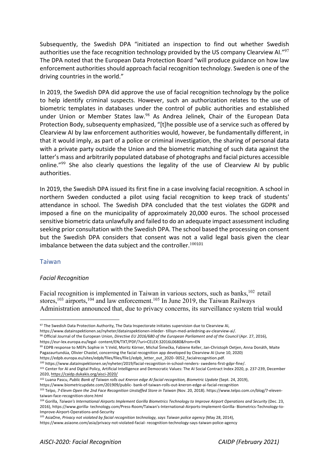Subsequently, the Swedish DPA "initiated an inspection to find out whether Swedish authorities use the face recognition technology provided by the US company Clearview AI. $^{97}$ The DPA noted that the European Data Protection Board "will produce guidance on how law enforcement authorities should approach facial recognition technology. Sweden is one of the driving countries in the world."

In 2019, the Swedish DPA did approve the use of facial recognition technology by the police to help identify criminal suspects. However, such an authorization relates to the use of biometric templates in databases under the control of public authorities and established under Union or Member States law.<sup>98</sup> As Andrea Jelinek, Chair of the European Data Protection Body, subsequenty emphasized, "[t]he possible use of a service such as offered by Clearview AI by law enforcement authorities would, however, be fundamentally different, in that it would imply, as part of a police or criminal investigation, the sharing of personal data with a private party outside the Union and the biometric matching of such data against the latter's mass and arbitrarily populated database of photographs and facial pictures accessible online."<sup>99</sup> She also clearly questions the legality of the use of Clearview AI by public authorities.

In 2019, the Swedish DPA issued its first fine in a case involving facial recognition. A school in northern Sweden conducted a pilot using facial recognition to keep track of students' attendance in school. The Swedish DPA concluded that the test violates the GDPR and imposed a fine on the municipality of approximately 20,000 euros. The school processed sensitive biometric data unlawfully and failed to do an adequate impact assessment including seeking prior consultation with the Swedish DPA. The school based the processing on consent but the Swedish DPA considers that consent was not a valid legal basis given the clear imbalance between the data subject and the controller.  $100101$ 

#### Taiwan

#### *Facial Recognition*

Facial recognition is implemented in Taiwan in various sectors, such as banks, $102$  retail stores,<sup>103</sup> airports,<sup>104</sup> and law enforcement.<sup>105</sup> In June 2019, the Taiwan Railways Administration announced that, due to privacy concerns, its surveillance system trial would

<sup>97</sup> The Swedish Data Protection Authority, The Data Inspectorate initiates supervision due to Clearview AI,

https://www.datainspektionen.se/nyheter/datainspektionen-inleder- tillsyn-med-anledning-av-clearview-ai/. <sup>98</sup> Official Journal of the European Union, *Directive EU 2016/680 of the European Parliament and of the Council (Apr. 27, 2016)*,

https://eur-lex.europa.eu/legal- content/EN/TXT/PDF/?uri=CELEX:32016L0680&from=EN<br><sup>99</sup> EDPB response to MEPs Sophie in 't Veld, Moritz Körner, Michal Šimečka, Fabiene Keller, Jan-Christoph Oetjen, Anna Donáth, Maite Pagazaurtundúa, Olivier Chastel, concerning the facial recognition app developed by Clearview AI (June 10, 2020)

https://edpb.europa.eu/sites/edpb/files/files/file1/edpb\_letter\_out\_2020- 0052\_facialrecognition.pdf. 100 https://www.datainspektionen.se/nyheter/2019/facial-recognition-in-school-renders- swedens-first-gdpr-fine/.

<sup>101</sup> Center for AI and Digital Policy, Artificial Intelligence and Democratic Values: The AI Social Contract Index 2020, p. 237-239, December 2020, https://caidp.dukakis.org/aisci-2020/

<sup>&</sup>lt;sup>102</sup> Luana Pascu, Public Bank of Taiwan rolls out Kneron edge AI facial recognition, Biometric Update (Sept. 24, 2019), https://www.biometricupdate.com/201909/public- bank-of-taiwan-rolls-out-kneron-edge-ai-facial-recognition

<sup>103</sup> Telpo, 7-Elevm Open the 2nd Face Recognition Unstaffed Store in Taiwan (Nov. 20, 2018). https://www.telpo.com.cn/blog/7-eleventaiwan-face-recognition-store.html<br><sup>104</sup> Gorilla, Taiwan's International Airports Implement Gorilla Biometrics Technology to Improve Airport Operations and Security (Dec. 23,

<sup>2016),</sup> https://www.gorilla- technology.com/Press-Room/Taiwan's-International-Airports-Implement-Gorilla- Biometrics-Technology-to-

Improve-Airport-Operations-and-Security<br><sup>105</sup> AsiaOne, *Privacy not violated by facial recognition technology, says Taiwan police agency* (May 28, 2014),

https://www.asiaone.com/asia/privacy-not-violated-facial- recognition-technology-says-taiwan-police-agency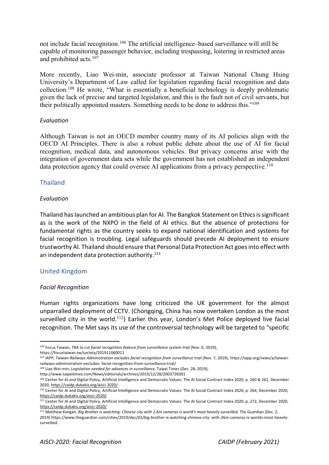not include facial recognition.<sup>106</sup> The artificial intelligence–based surveillance will still be capable of monitoring passenger behavior, including trespassing, loitering in restricted areas and prohibited acts.107

More recently, Liao Wei-min, associate professor at Taiwan National Chung Hsing University's Department of Law called for legislation regarding facial recognition and data collection.108 He wrote, "What is essentially a beneficial technology is deeply problematic given the lack of precise and targeted legislation, and this is the fault not of civil servants, but their politically appointed masters. Something needs to be done to address this."109

#### *Evaluation*

Although Taiwan is not an OECD member country many of its AI policies align with the OECD AI Principles. There is also a robust public debate about the use of AI for facial recognition, medical data, and autonomous vehicles. But privacy concerns arise with the integration of government data sets while the government has not established an independent data protection agency that could oversee AI applications from a privacy perspective.<sup>110</sup>

#### Thailand

#### *Evaluation*

Thailand has launched an ambitious plan for AI. The Bangkok Statement on Ethics is significant as is the work of the NXPO in the field of AI ethics. But the absence of protections for fundamental rights as the country seeks to expand national identification and systems for facial recognition is troubling. Legal safeguards should precede AI deployment to ensure trustworthy AI. Thailand should ensure that Personal Data Protection Act goes into effect with an independent data protection authority.<sup>111</sup>

#### United Kingdom

#### *Facial Recognition*

Human rights organizations have long criticized the UK government for the almost unparralled deployment of CCTV. (Chongqing, China has now overtaken London as the most surveilled city in the world.<sup>112</sup>) Earlier this year, London's Met Police deployed live facial recognition. The Met says its use of the controversial technology will be targeted to "specific

<sup>&</sup>lt;sup>106</sup> Focus Taiwan, *TRA to cut facial recognition feature from surveillance system trial (Nov. 6, 2019)*,

https://focustaiwan.tw/society/201911060011

<sup>&</sup>lt;sup>107</sup> IAPP, *Taiwan Railways Administration excludes facial recognition from surveillance trial (Nov. 7, 2019), https://iapp.org/news/a/taiwan*railways-administration-excludes- facial-recognition-from-surveillance-trial/

<sup>108</sup> Liao Wei-min, *Legislation needed for advances in surveillance,* Taipei Times (Dec. 28, 2019),

http://www.taipeitimes.com/News/editorials/archives/2019/12/28/2003728301<br><sup>109</sup> Center for AI and Digital Policy, Artificial Intelligence and Democratic Values: The AI Social Contract Index 2020, p. 260 & 261, December 2020, https://caidp.dukakis.org/aisci-2020/

<sup>110</sup> Center for AI and Digital Policy, Artificial Intelligence and Democratic Values: The AI Social Contract Index 2020, p. 264, December 2020, https://caidp.dukakis.org/aisci-2020/

<sup>111</sup> Center for AI and Digital Policy, Artificial Intelligence and Democratic Values: The AI Social Contract Index 2020, p. 272, December 2020, https://caidp.dukakis.org/aisci-2020/

<sup>112</sup> Matthew Keegan, *Big Brother is watching: Chinese city with 2.6m cameras is world's most heavily surveilled*, The Guardian (Dec. 2,

<sup>2019)</sup> https://www.theguardian.com/cities/2019/dec/02/big-brother-is-watching-chinese-city- with-26m-cameras-is-worlds-most-heavilysurveilled.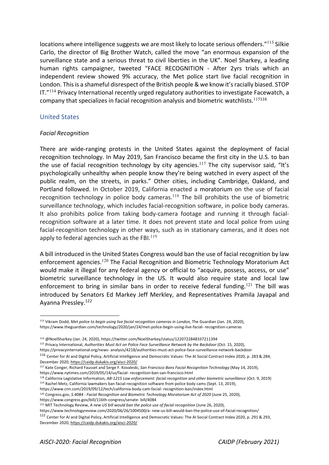locations where intelligence suggests we are most likely to locate serious offenders."<sup>113</sup> Silkie Carlo, the director of Big Brother Watch, called the move "an enormous expansion of the surveillance state and a serious threat to civil liberties in the UK". Noel Sharkey, a leading human rights campaigner, tweeted "FACE RECOGNITION - After 2yrs trials which an independent review showed 9% accuracy, the Met police start live facial recognition in London. This is a shameful disrespect of the British people & we know it's racially biased. STOP IT. $"$ <sup>114</sup> Privacy International recently urged regulatory authorities to investigate Facewatch, a company that specializes in facial recognition analysis and biometric watchlists.<sup>115</sup><sup>116</sup>

#### United States

#### *Facial Recognition*

There are wide-ranging protests in the United States against the deployment of facial recognition technology. In May 2019, San Francisco became the first city in the U.S. to ban the use of facial recognition technology by city agencies.<sup>117</sup> The city supervisor said, "It's psychologically unhealthy when people know they're being watched in every aspect of the public realm, on the streets, in parks." Other cities, including Cambridge, Oakland, and Portland followed. In October 2019, California enacted a moratorium on the use of facial recognition technology in police body cameras.<sup>118</sup> The bill prohibits the use of biometric surveillance technology, which includes facial-recognition software, in police body cameras. It also prohibits police from taking body-camera footage and running it through facialrecognition software at a later time. It does not prevent state and local police from using facial-recognition technology in other ways, such as in stationary cameras, and it does not apply to federal agencies such as the FBI. $^{119}$ 

A bill introduced in the United States Congress would ban the use of facial recognition by law enforcement agencies.<sup>120</sup> The Facial Recognition and Biometric Technology Moratorium Act would make it illegal for any federal agency or official to "acquire, possess, access, or use" biometric surveillance technology in the US. It would also require state and local law enforcement to bring in similar bans in order to receive federal funding.<sup>121</sup> The bill was introduced by Senators Ed Markey Jeff Merkley, and Representatives Pramila Jayapal and Ayanna Pressley.122

https://www.cnn.com/2019/09/12/tech/california-body-cam-facial- recognition-ban/index.html

<sup>113</sup> Vikram Dodd, *Met police to begin using live facial recognition cameras in London,* The Guardian (Jan. 24, 2020), https://www.theguardian.com/technology/2020/jan/24/met-police-begin-using-live-facial- recognition-cameras

<sup>114</sup> @NoelSharkey (Jan. 24, 2020), https://twitter.com/NoelSharkey/status/1220722848337211394 115 Privacy International, *Authorities Must Act on Police Face Surveillance Network by the Backdoor* (Oct. 15, 2020),

https://privacyinternational.org/news- analysis/4218/authorities-must-act-police-face-surveillance-network-backdoor

<sup>116</sup> Center for AI and Digital Policy, Artificial Intelligence and Democratic Values: The AI Social Contract Index 2020, p. 283 & 284, December 2020, https://caidp.dukakis.org/aisci-2020/

<sup>117</sup> Kate Conger, Richard Fausset and Serge F. Kovaleski, *San Francisco Bans Facial Recognition Technology* (May 14, 2019), https://www.nytimes.com/2019/05/14/us/facial- recognition-ban-san-francisco.html

<sup>&</sup>lt;sup>118</sup> California Legislative Information, AB-1215 Law enforcement: facial recognition and other biometric surveillance (Oct. 9, 2019)<br><sup>119</sup> Rachel Metz, California lawmakers ban facial-recognition software from police body

<sup>120</sup> Congress.gov, *S.4084 - Facial Recognition and Biometric Technology Moratorium Act of 2020* (June 25, 2020),

https://www.congress.gov/bill/116th-congress/senate- bill/4084 121 MIT Technology Review, *A new US bill would ban the police use of facial recognition* (June 26, 2020),

https://www.technologyreview.com/2020/06/26/1004500/a- new-us-bill-would-ban-the-police-use-of-facial-recognition/

<sup>122</sup> Center for AI and Digital Policy, Artificial Intelligence and Democratic Values: The AI Social Contract Index 2020, p. 291 & 293, December 2020, https://caidp.dukakis.org/aisci-2020/